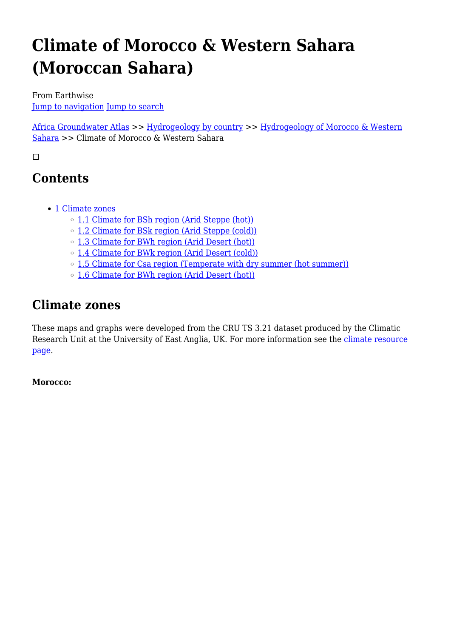# **Climate of Morocco & Western Sahara (Moroccan Sahara)**

From Earthwise [Jump to navigation](#page--1-0) [Jump to search](#page--1-0)

[Africa Groundwater Atlas](http://earthwise.bgs.ac.uk/index.php/Africa_Groundwater_Atlas_Home) >> [Hydrogeology by country](http://earthwise.bgs.ac.uk/index.php/Hydrogeology_by_country) >> [Hydrogeology of Morocco & Western](http://earthwise.bgs.ac.uk/index.php/Hydrogeology_of_Morocco_%26_Western_Sahara_(Moroccan_Sahara)) [Sahara](http://earthwise.bgs.ac.uk/index.php/Hydrogeology_of_Morocco_%26_Western_Sahara_(Moroccan_Sahara)) >> Climate of Morocco & Western Sahara

 $\Box$ 

# **Contents**

- [1](#page--1-0) [Climate zones](#page--1-0)
	- [1.1](#Climate_for_BSh_region_.28Arid_Steppe_.28hot.29.29) [Climate for BSh region \(Arid Steppe \(hot\)\)](#Climate_for_BSh_region_.28Arid_Steppe_.28hot.29.29)
	- [1.2](#Climate_for_BSk_region_.28Arid_Steppe_.28cold.29.29) [Climate for BSk region \(Arid Steppe \(cold\)\)](#Climate_for_BSk_region_.28Arid_Steppe_.28cold.29.29)
	- [1.3](#Climate_for_BWh_region_.28Arid_Desert_.28hot.29.29) [Climate for BWh region \(Arid Desert \(hot\)\)](#Climate_for_BWh_region_.28Arid_Desert_.28hot.29.29)
	- [1.4](#Climate_for_BWk_region_.28Arid_Desert_.28cold.29.29) [Climate for BWk region \(Arid Desert \(cold\)\)](#Climate_for_BWk_region_.28Arid_Desert_.28cold.29.29)
	- [1.5](#Climate_for_Csa_region_.28Temperate_with_dry_summer_.28hot_summer.29.29) [Climate for Csa region \(Temperate with dry summer \(hot summer\)\)](#Climate_for_Csa_region_.28Temperate_with_dry_summer_.28hot_summer.29.29)
	- [1.6](#Climate_for_BWh_region_.28Arid_Desert_.28hot.29.29_2) [Climate for BWh region \(Arid Desert \(hot\)\)](#Climate_for_BWh_region_.28Arid_Desert_.28hot.29.29_2)

# **Climate zones**

These maps and graphs were developed from the CRU TS 3.21 dataset produced by the Climatic Research Unit at the University of East Anglia, UK. For more information see the *climate resource* [page.](http://earthwise.bgs.ac.uk/index.php/Climate)

**Morocco:**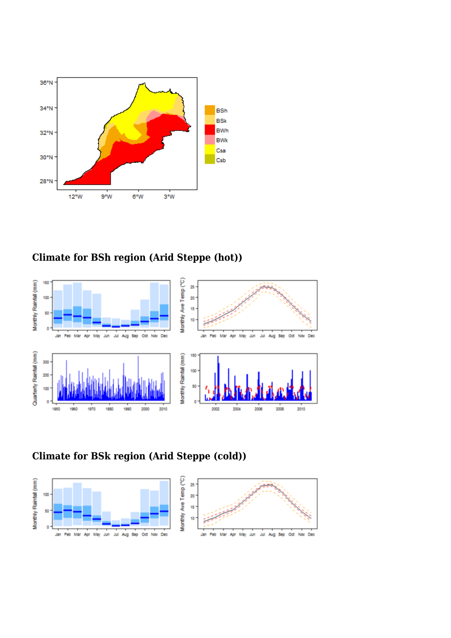

# **Climate for BSh region (Arid Steppe (hot))**



# **Climate for BSk region (Arid Steppe (cold))**

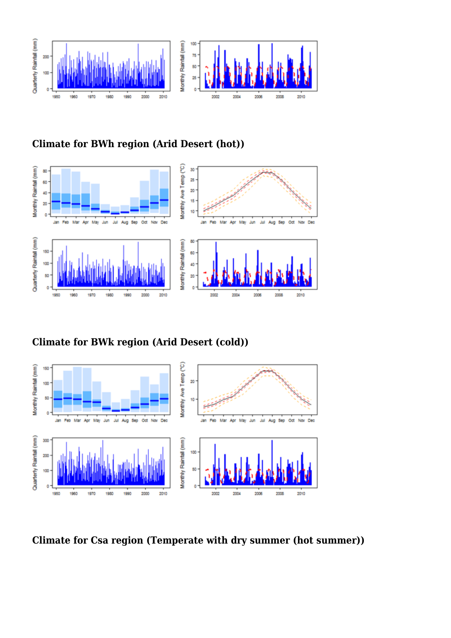

**Climate for BWh region (Arid Desert (hot))**



**Climate for BWk region (Arid Desert (cold))**



**Climate for Csa region (Temperate with dry summer (hot summer))**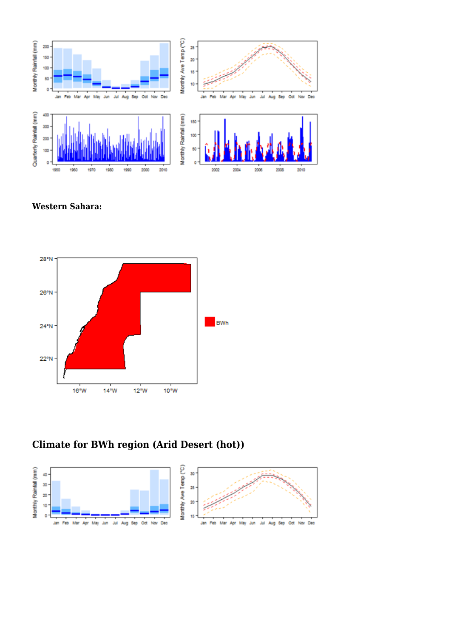

**Western Sahara:**



## **Climate for BWh region (Arid Desert (hot))**

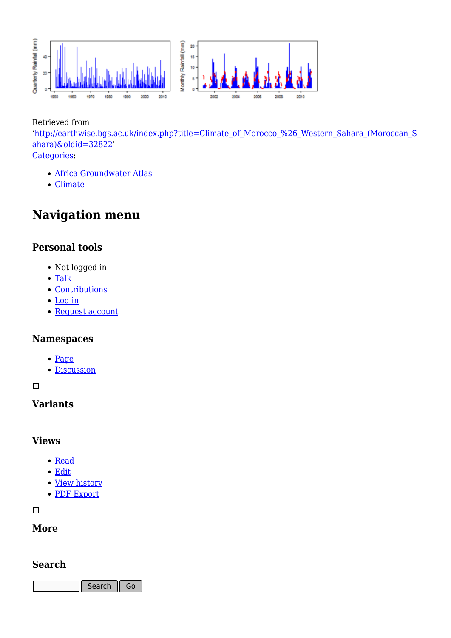

Retrieved from

'[http://earthwise.bgs.ac.uk/index.php?title=Climate\\_of\\_Morocco\\_%26\\_Western\\_Sahara\\_\(Moroccan\\_S](http://earthwise.bgs.ac.uk/index.php?title=Climate_of_Morocco_%26_Western_Sahara_(Moroccan_Sahara)&oldid=32822) [ahara\)&oldid=32822'](http://earthwise.bgs.ac.uk/index.php?title=Climate_of_Morocco_%26_Western_Sahara_(Moroccan_Sahara)&oldid=32822) [Categories:](http://earthwise.bgs.ac.uk/index.php/Special:Categories)

- [Africa Groundwater Atlas](http://earthwise.bgs.ac.uk/index.php/Category:Africa_Groundwater_Atlas)
- [Climate](http://earthwise.bgs.ac.uk/index.php/Category:Climate)

# **Navigation menu**

#### **Personal tools**

- Not logged in
- [Talk](http://earthwise.bgs.ac.uk/index.php/Special:MyTalk)
- [Contributions](http://earthwise.bgs.ac.uk/index.php/Special:MyContributions)
- [Log in](http://earthwise.bgs.ac.uk/index.php?title=Special:UserLogin&returnto=Climate+of+Morocco+%26+Western+Sahara+%28Moroccan+Sahara%29&returntoquery=action%3Dmpdf)
- [Request account](http://earthwise.bgs.ac.uk/index.php/Special:RequestAccount)

#### **Namespaces**

- [Page](http://earthwise.bgs.ac.uk/index.php/Climate_of_Morocco_%26_Western_Sahara_(Moroccan_Sahara))
- [Discussion](http://earthwise.bgs.ac.uk/index.php?title=Talk:Climate_of_Morocco_%26_Western_Sahara_(Moroccan_Sahara)&action=edit&redlink=1)

 $\Box$ 

### **Variants**

#### **Views**

- [Read](http://earthwise.bgs.ac.uk/index.php/Climate_of_Morocco_%26_Western_Sahara_(Moroccan_Sahara))
- [Edit](http://earthwise.bgs.ac.uk/index.php?title=Climate_of_Morocco_%26_Western_Sahara_(Moroccan_Sahara)&action=edit)
- [View history](http://earthwise.bgs.ac.uk/index.php?title=Climate_of_Morocco_%26_Western_Sahara_(Moroccan_Sahara)&action=history)
- [PDF Export](http://earthwise.bgs.ac.uk/index.php?title=Climate_of_Morocco_%26_Western_Sahara_(Moroccan_Sahara)&action=mpdf)

 $\Box$ 

#### **More**

#### **Search**